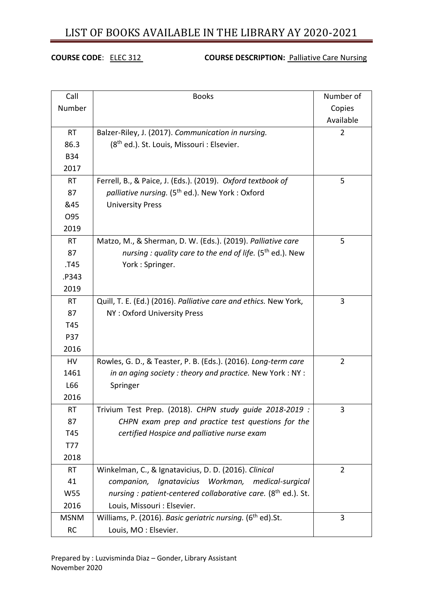# LIST OF BOOKS AVAILABLE IN THE LIBRARY AY 2020-2021

## **COURSE CODE:** ELEC 312 **COURSE DESCRIPTION:** Palliative Care Nursing

| Call        | <b>Books</b>                                                              | Number of      |
|-------------|---------------------------------------------------------------------------|----------------|
| Number      |                                                                           | Copies         |
|             |                                                                           | Available      |
| <b>RT</b>   | Balzer-Riley, J. (2017). Communication in nursing.                        | $\overline{2}$ |
| 86.3        | (8 <sup>th</sup> ed.). St. Louis, Missouri : Elsevier.                    |                |
| <b>B34</b>  |                                                                           |                |
| 2017        |                                                                           |                |
| <b>RT</b>   | Ferrell, B., & Paice, J. (Eds.). (2019). Oxford textbook of               | 5              |
| 87          | palliative nursing. (5 <sup>th</sup> ed.). New York: Oxford               |                |
| &45         | <b>University Press</b>                                                   |                |
| O95         |                                                                           |                |
| 2019        |                                                                           |                |
| <b>RT</b>   | Matzo, M., & Sherman, D. W. (Eds.). (2019). Palliative care               | 5              |
| 87          | nursing : quality care to the end of life. (5 <sup>th</sup> ed.). New     |                |
| .T45        | York: Springer.                                                           |                |
| P343.       |                                                                           |                |
| 2019        |                                                                           |                |
| <b>RT</b>   | Quill, T. E. (Ed.) (2016). Palliative care and ethics. New York,          | 3              |
| 87          | NY: Oxford University Press                                               |                |
| T45         |                                                                           |                |
| P37         |                                                                           |                |
| 2016        |                                                                           |                |
| HV          | Rowles, G. D., & Teaster, P. B. (Eds.). (2016). Long-term care            | $\overline{2}$ |
| 1461        | in an aging society: theory and practice. New York: NY:                   |                |
| L66         | Springer                                                                  |                |
| 2016        |                                                                           |                |
| <b>RT</b>   | Trivium Test Prep. (2018). CHPN study guide 2018-2019 :                   | 3              |
| 87          | CHPN exam prep and practice test questions for the                        |                |
| T45         | certified Hospice and palliative nurse exam                               |                |
| T77         |                                                                           |                |
| 2018        |                                                                           |                |
| <b>RT</b>   | Winkelman, C., & Ignatavicius, D. D. (2016). Clinical                     | $\overline{2}$ |
| 41          | companion, Ignatavicius Workman, medical-surgical                         |                |
| W55         | nursing : patient-centered collaborative care. (8 <sup>th</sup> ed.). St. |                |
| 2016        | Louis, Missouri : Elsevier.                                               |                |
| <b>MSNM</b> | Williams, P. (2016). Basic geriatric nursing. (6 <sup>th</sup> ed). St.   | 3              |
| <b>RC</b>   | Louis, MO: Elsevier.                                                      |                |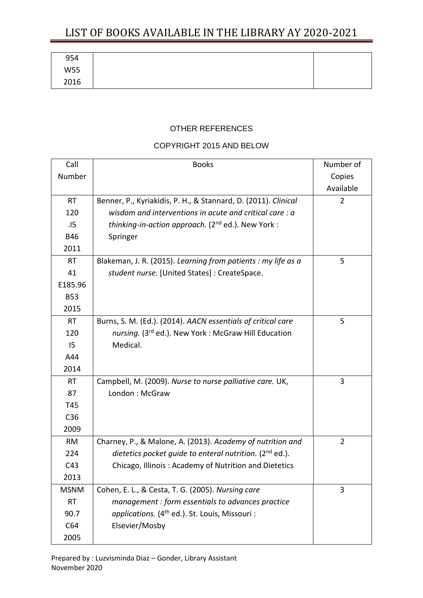| 954  |  |
|------|--|
| W55  |  |
| 2016 |  |

### OTHER REFERENCES

## COPYRIGHT 2015 AND BELOW

| Call        | <b>Books</b>                                                        | Number of      |
|-------------|---------------------------------------------------------------------|----------------|
| Number      |                                                                     | Copies         |
|             |                                                                     | Available      |
| <b>RT</b>   | Benner, P., Kyriakidis, P. H., & Stannard, D. (2011). Clinical      | 2              |
| 120         | wisdom and interventions in acute and critical care: a              |                |
| .15         | thinking-in-action approach. $(2^{nd}$ ed.). New York :             |                |
| <b>B46</b>  | Springer                                                            |                |
| 2011        |                                                                     |                |
| <b>RT</b>   | Blakeman, J. R. (2015). Learning from patients : my life as a       | 5              |
| 41          | student nurse. [United States] : CreateSpace.                       |                |
| E185.96     |                                                                     |                |
| <b>B53</b>  |                                                                     |                |
| 2015        |                                                                     |                |
| <b>RT</b>   | Burns, S. M. (Ed.). (2014). AACN essentials of critical care        | 5              |
| 120         | nursing. (3rd ed.). New York: McGraw Hill Education                 |                |
| 15          | Medical.                                                            |                |
| A44         |                                                                     |                |
| 2014        |                                                                     |                |
| <b>RT</b>   | Campbell, M. (2009). Nurse to nurse palliative care. UK,            | 3              |
| 87          | London: McGraw                                                      |                |
| T45         |                                                                     |                |
| C36         |                                                                     |                |
| 2009        |                                                                     |                |
| <b>RM</b>   | Charney, P., & Malone, A. (2013). Academy of nutrition and          | $\overline{2}$ |
| 224         | dietetics pocket guide to enteral nutrition. (2 <sup>nd</sup> ed.). |                |
| C43         | Chicago, Illinois: Academy of Nutrition and Dietetics               |                |
| 2013        |                                                                     |                |
| <b>MSNM</b> | Cohen, E. L., & Cesta, T. G. (2005). Nursing care                   | 3              |
| <b>RT</b>   | management : form essentials to advances practice                   |                |
| 90.7        | applications. (4 <sup>th</sup> ed.). St. Louis, Missouri :          |                |
| C64         | Elsevier/Mosby                                                      |                |
| 2005        |                                                                     |                |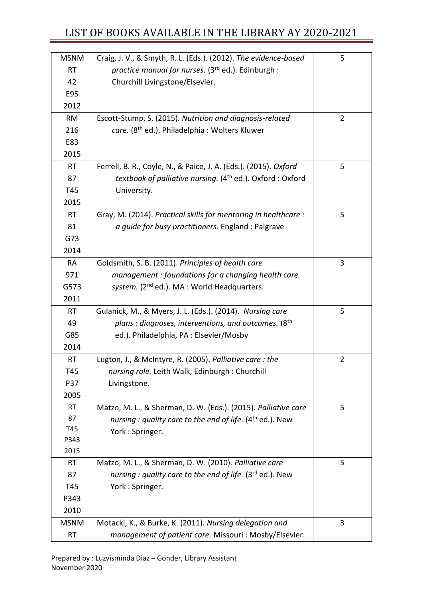# LIST OF BOOKS AVAILABLE IN THE LIBRARY AY 2020-2021

| <b>MSNM</b> | Craig, J. V., & Smyth, R. L. (Eds.). (2012). The evidence-based       | 5              |
|-------------|-----------------------------------------------------------------------|----------------|
| <b>RT</b>   | practice manual for nurses. (3rd ed.). Edinburgh :                    |                |
| 42          | Churchill Livingstone/Elsevier.                                       |                |
| E95         |                                                                       |                |
| 2012        |                                                                       |                |
| <b>RM</b>   | Escott-Stump, S. (2015). Nutrition and diagnosis-related              | $\overline{2}$ |
| 216         | care. (8 <sup>th</sup> ed.). Philadelphia: Wolters Kluwer             |                |
| E83         |                                                                       |                |
| 2015        |                                                                       |                |
| <b>RT</b>   | Ferrell, B. R., Coyle, N., & Paice, J. A. (Eds.). (2015). Oxford      | 5              |
| 87          | textbook of palliative nursing. (4 <sup>th</sup> ed.). Oxford: Oxford |                |
| T45         | University.                                                           |                |
| 2015        |                                                                       |                |
| <b>RT</b>   | Gray, M. (2014). Practical skills for mentoring in healthcare :       | 5              |
| 81          | a guide for busy practitioners. England : Palgrave                    |                |
| G73         |                                                                       |                |
| 2014        |                                                                       |                |
| <b>RA</b>   | Goldsmith, S. B. (2011). Principles of health care                    | 3              |
| 971         | management : foundations for a changing health care                   |                |
| G573        | system. (2 <sup>nd</sup> ed.). MA : World Headquarters.               |                |
| 2011        |                                                                       |                |
| <b>RT</b>   | Gulanick, M., & Myers, J. L. (Eds.). (2014). Nursing care             | 5              |
| 49          | plans : diagnoses, interventions, and outcomes. (8 <sup>th</sup>      |                |
| G85         | ed.). Philadelphia, PA : Elsevier/Mosby                               |                |
| 2014        |                                                                       |                |
| <b>RT</b>   | Lugton, J., & McIntyre, R. (2005). Palliative care: the               | $\overline{2}$ |
| T45         | nursing role. Leith Walk, Edinburgh : Churchill                       |                |
| P37         | Livingstone.                                                          |                |
| 2005        |                                                                       |                |
| <b>RT</b>   | Matzo, M. L., & Sherman, D. W. (Eds.). (2015). Palliative care        | 5              |
| 87          | nursing: quality care to the end of life. (4 <sup>th</sup> ed.). New  |                |
| T45         | York: Springer.                                                       |                |
| P343        |                                                                       |                |
| 2015        |                                                                       |                |
| <b>RT</b>   | Matzo, M. L., & Sherman, D. W. (2010). Palliative care                | 5              |
| 87          | nursing : quality care to the end of life. (3rd ed.). New             |                |
| T45         | York: Springer.                                                       |                |
| P343        |                                                                       |                |
| 2010        |                                                                       |                |
| <b>MSNM</b> | Motacki, K., & Burke, K. (2011). Nursing delegation and               | 3              |
| <b>RT</b>   | management of patient care. Missouri : Mosby/Elsevier.                |                |